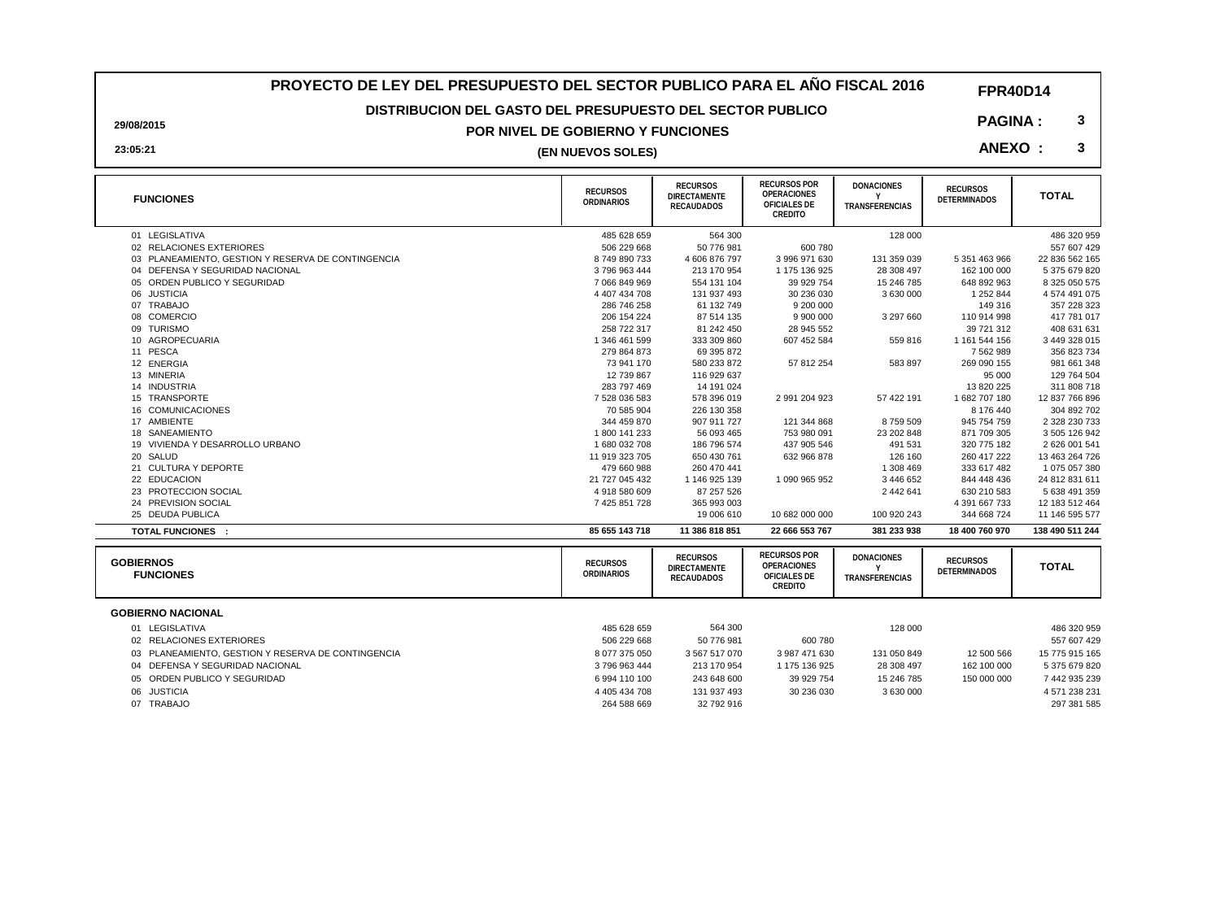### **PROYECTO DE LEY DEL PRESUPUESTO DEL SECTOR PUBLICO PARA EL AÑO FISCAL 2016**

**FPR40D14**

### **DISTRIBUCION DEL GASTO DEL PRESUPUESTO DEL SECTOR PUBLICO**

### **POR NIVEL DE GOBIERNO Y FUNCIONES**

**29/08/2015 23:05:21**

## **3 (EN NUEVOS SOLES)**

| <b>FUNCIONES</b>                                   | <b>RECURSOS</b><br>ORDINARIOS | <b>RECURSOS</b><br><b>DIRECTAMENTE</b><br><b>RECAUDADOS</b> | <b>RECURSOS POR</b><br><b>OPERACIONES</b><br>OFICIALES DE<br>CREDITO | <b>DONACIONES</b><br>TRANSFERENCIAS        | <b>RECURSOS</b><br><b>DETERMINADOS</b> | <b>TOTAL</b>    |
|----------------------------------------------------|-------------------------------|-------------------------------------------------------------|----------------------------------------------------------------------|--------------------------------------------|----------------------------------------|-----------------|
| 01 LEGISLATIVA                                     | 485 628 659                   | 564 300                                                     |                                                                      | 128 000                                    |                                        | 486 320 959     |
| 02 RELACIONES EXTERIORES                           | 506 229 668                   | 50 776 981                                                  | 600 780                                                              |                                            |                                        | 557 607 429     |
| 03 PLANEAMIENTO, GESTION Y RESERVA DE CONTINGENCIA | 8749890733                    | 4606876797                                                  | 3 996 971 630                                                        | 131 359 039                                | 5 351 463 966                          | 22 836 562 165  |
| 04 DEFENSA Y SEGURIDAD NACIONAL                    | 3796963444                    | 213 170 954                                                 | 1 175 136 925                                                        | 28 308 497                                 | 162 100 000                            | 5 375 679 820   |
| 05 ORDEN PUBLICO Y SEGURIDAD                       | 7 066 849 969                 | 554 131 104                                                 | 39 929 754                                                           | 15 246 785                                 | 648 892 963                            | 8 325 050 575   |
| 06 JUSTICIA                                        | 4 407 434 708                 | 131 937 493                                                 | 30 236 030                                                           | 3 630 000                                  | 1 252 844                              | 4 574 491 075   |
| 07 TRABAJO                                         | 286 746 258                   | 61 132 749                                                  | 9 200 000                                                            |                                            | 149 316                                | 357 228 323     |
| 08 COMERCIO                                        | 206 154 224                   | 87 514 135                                                  | 9 900 000                                                            | 3 297 660                                  | 110 914 998                            | 417 781 017     |
| 09 TURISMO                                         | 258 722 317                   | 81 242 450                                                  | 28 945 552                                                           |                                            | 39 721 312                             | 408 631 631     |
| 10 AGROPECUARIA                                    | 1 346 461 599                 | 333 309 860                                                 | 607 452 584                                                          | 559 816                                    | 1 161 544 156                          | 3 449 328 015   |
| 11 PESCA                                           | 279 864 873                   | 69 395 872                                                  |                                                                      |                                            | 7 562 989                              | 356 823 734     |
| 12 ENERGIA                                         | 73 941 170                    | 580 233 872                                                 | 57 812 254                                                           | 583 897                                    | 269 090 155                            | 981 661 348     |
| 13 MINERIA                                         | 12 739 867                    | 116 929 637                                                 |                                                                      |                                            | 95 000                                 | 129 764 504     |
| 14 INDUSTRIA                                       | 283 797 469                   | 14 191 024                                                  |                                                                      |                                            | 13 820 225                             | 311 808 718     |
| 15 TRANSPORTE                                      | 7 528 036 583                 | 578 396 019                                                 | 2 991 204 923                                                        | 57 422 191                                 | 1682707180                             | 12 837 766 896  |
| 16 COMUNICACIONES                                  | 70 585 904                    | 226 130 358                                                 |                                                                      |                                            | 8 176 440                              | 304 892 702     |
| 17 AMBIENTE                                        | 344 459 870                   | 907 911 727                                                 | 121 344 868                                                          | 8759509                                    | 945 754 759                            | 2 328 230 733   |
| 18 SANEAMIENTO                                     | 1800 141 233                  | 56 093 465                                                  | 753 980 091                                                          | 23 202 848                                 | 871 709 305                            | 3 505 126 942   |
| 19 VIVIENDA Y DESARROLLO URBANO                    | 1680032708                    | 186 796 574                                                 | 437 905 546                                                          | 491 531                                    | 320 775 182                            | 2626 001 541    |
| 20 SALUD                                           | 11 919 323 705                | 650 430 761                                                 | 632 966 878                                                          | 126 160                                    | 260 417 222                            | 13 463 264 726  |
| <b>CULTURA Y DEPORTE</b><br>21                     | 479 660 988                   | 260 470 441                                                 |                                                                      | 1 308 469                                  | 333 617 482                            | 1075057380      |
| 22 EDUCACION                                       | 21 727 045 432                | 1 146 925 139                                               | 1 090 965 952                                                        | 3446652                                    | 844 448 436                            | 24 812 831 611  |
| 23 PROTECCION SOCIAL                               | 4918580609                    | 87 257 526                                                  |                                                                      | 2 442 641                                  | 630 210 583                            | 5 638 491 359   |
| 24 PREVISION SOCIAL                                | 7 425 851 728                 | 365 993 003                                                 |                                                                      |                                            | 4 391 667 733                          | 12 183 512 464  |
| 25 DEUDA PUBLICA                                   |                               | 19 006 610                                                  | 10 682 000 000                                                       | 100 920 243                                | 344 668 724                            | 11 146 595 577  |
| <b>TOTAL FUNCIONES :</b>                           | 85 655 143 718                | 11 386 818 851                                              | 22 666 553 767                                                       | 381 233 938                                | 18 400 760 970                         | 138 490 511 244 |
| <b>GOBIERNOS</b><br><b>FUNCIONES</b>               | <b>RECURSOS</b><br>ORDINARIOS | <b>RECURSOS</b><br><b>DIRECTAMENTE</b><br><b>RECAUDADOS</b> | <b>RECURSOS POR</b><br>OPERACIONES<br>OFICIALES DE<br>CREDITO        | <b>DONACIONES</b><br><b>TRANSFERENCIAS</b> | <b>RECURSOS</b><br><b>DETERMINADOS</b> | <b>TOTAL</b>    |

|             | 01 LEGISLATIVA                                     | 485 628 659   | 564 300       |               | 128 000     |             | 486 320 959    |
|-------------|----------------------------------------------------|---------------|---------------|---------------|-------------|-------------|----------------|
|             | 02 RELACIONES EXTERIORES                           | 506 229 668   | 50 776 981    | 600 780       |             |             | 557 607 429    |
|             | 03 PLANEAMIENTO, GESTION Y RESERVA DE CONTINGENCIA | 8 077 375 050 | 3 567 517 070 | 3 987 471 630 | 131 050 849 | 12 500 566  | 15 775 915 165 |
|             | 04 DEFENSA Y SEGURIDAD NACIONAL                    | 3796963444    | 213 170 954   | 1 175 136 925 | 28 308 497  | 162 100 000 | 5 375 679 820  |
|             | 05 ORDEN PUBLICO Y SEGURIDAD                       | 6994 110 100  | 243 648 600   | 39 929 754    | 15 246 785  | 150 000 000 | 7 442 935 239  |
| 06 JUSTICIA |                                                    | 4 405 434 708 | 131 937 493   | 30 236 030    | 3 630 000   |             | 4 571 238 231  |
| 07 TRABAJO  |                                                    | 264 588 669   | 32 792 916    |               |             |             | 297 381 585    |

**3**

**PAGINA : ANEXO :**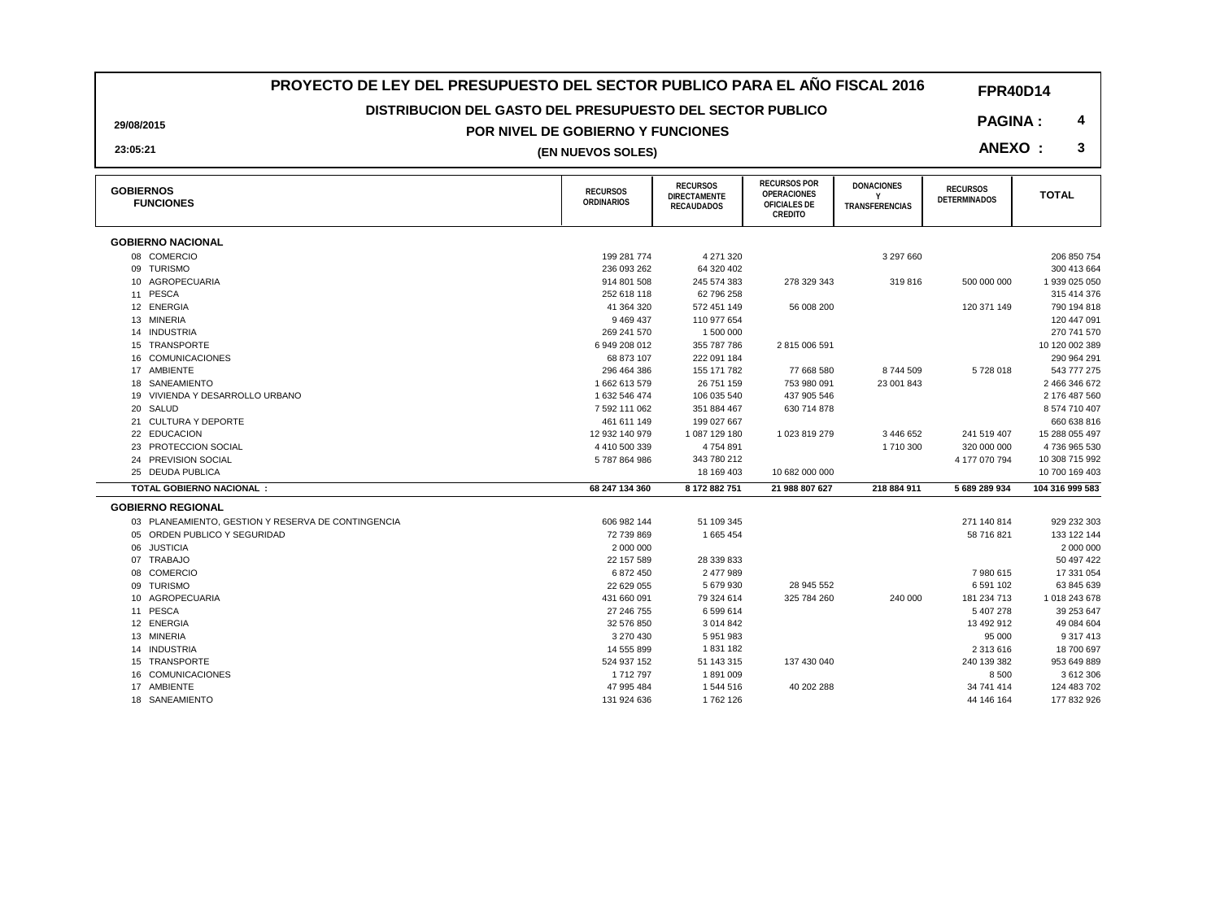### **PROYECTO DE LEY DEL PRESUPUESTO DEL SECTOR PUBLICO PARA EL AÑO FISCAL 2016**

### **DISTRIBUCION DEL GASTO DEL PRESUPUESTO DEL SECTOR PUBLICO**

#### **POR NIVEL DE GOBIERNO Y FUNCIONES**

**29/08/2015**

## **3 (EN NUEVOS SOLES)**

| <b>GOBIERNOS</b><br><b>FUNCIONES</b>               | <b>RECURSOS</b><br><b>ORDINARIOS</b> | <b>RECURSOS</b><br>DIRECTAMENTE<br><b>RECAUDADOS</b> | <b>RECURSOS POR</b><br><b>OPERACIONES</b><br>OFICIALES DE<br>CREDITO | <b>DONACIONES</b><br>TRANSFERENCIAS | <b>RECURSOS</b><br><b>DETERMINADOS</b> | <b>TOTAL</b>    |
|----------------------------------------------------|--------------------------------------|------------------------------------------------------|----------------------------------------------------------------------|-------------------------------------|----------------------------------------|-----------------|
| <b>GOBIERNO NACIONAL</b>                           |                                      |                                                      |                                                                      |                                     |                                        |                 |
| 08 COMERCIO                                        | 199 281 774                          | 4 271 320                                            |                                                                      | 3 297 660                           |                                        | 206 850 754     |
| 09 TURISMO                                         | 236 093 262                          | 64 320 402                                           |                                                                      |                                     |                                        | 300 413 664     |
| 10 AGROPECUARIA                                    | 914 801 508                          | 245 574 383                                          | 278 329 343                                                          | 319816                              | 500 000 000                            | 1 939 025 050   |
| 11 PESCA                                           | 252 618 118                          | 62 796 258                                           |                                                                      |                                     |                                        | 315 414 376     |
| 12 ENERGIA                                         | 41 364 320                           | 572 451 149                                          | 56 008 200                                                           |                                     | 120 371 149                            | 790 194 818     |
| 13 MINERIA                                         | 9 4 6 9 4 3 7                        | 110 977 654                                          |                                                                      |                                     |                                        | 120 447 091     |
| 14 INDUSTRIA                                       | 269 241 570                          | 1 500 000                                            |                                                                      |                                     |                                        | 270 741 570     |
| 15 TRANSPORTE                                      | 6949208012                           | 355 787 786                                          | 2815006591                                                           |                                     |                                        | 10 120 002 389  |
| 16 COMUNICACIONES                                  | 68 873 107                           | 222 091 184                                          |                                                                      |                                     |                                        | 290 964 291     |
| 17 AMBIENTE                                        | 296 464 386                          | 155 171 782                                          | 77 668 580                                                           | 8744509                             | 5728018                                | 543 777 275     |
| 18 SANEAMIENTO                                     | 1662613579                           | 26 751 159                                           | 753 980 091                                                          | 23 001 843                          |                                        | 2 466 346 672   |
| 19 VIVIENDA Y DESARROLLO URBANO                    | 1 632 546 474                        | 106 035 540                                          | 437 905 546                                                          |                                     |                                        | 2 176 487 560   |
| 20 SALUD                                           | 7 592 111 062                        | 351 884 467                                          | 630 714 878                                                          |                                     |                                        | 8 574 710 407   |
| 21 CULTURA Y DEPORTE                               | 461 611 149                          | 199 027 667                                          |                                                                      |                                     |                                        | 660 638 816     |
| 22 EDUCACION                                       | 12 932 140 979                       | 1087129180                                           | 1 023 819 279                                                        | 3 446 652                           | 241 519 407                            | 15 288 055 497  |
| 23 PROTECCION SOCIAL                               | 4410500339                           | 4754891                                              |                                                                      | 1710 300                            | 320 000 000                            | 4736 965 530    |
| 24 PREVISION SOCIAL                                | 5787864986                           | 343 780 212                                          |                                                                      |                                     | 4 177 070 794                          | 10 308 715 992  |
| 25 DEUDA PUBLICA                                   |                                      | 18 169 403                                           | 10 682 000 000                                                       |                                     |                                        | 10 700 169 403  |
| <b>TOTAL GOBIERNO NACIONAL:</b>                    | 68 247 134 360                       | 8 172 882 751                                        | 21 988 807 627                                                       | 218 884 911                         | 5 689 289 934                          | 104 316 999 583 |
| <b>GOBIERNO REGIONAL</b>                           |                                      |                                                      |                                                                      |                                     |                                        |                 |
| 03 PLANEAMIENTO, GESTION Y RESERVA DE CONTINGENCIA | 606 982 144                          | 51 109 345                                           |                                                                      |                                     | 271 140 814                            | 929 232 303     |
| 05 ORDEN PUBLICO Y SEGURIDAD                       | 72 739 869                           | 1 665 454                                            |                                                                      |                                     | 58 716 821                             | 133 122 144     |
| 06 JUSTICIA                                        | 2 000 000                            |                                                      |                                                                      |                                     |                                        | 2 000 000       |
| 07 TRABAJO                                         | 22 157 589                           | 28 339 833                                           |                                                                      |                                     |                                        | 50 497 422      |
| 08 COMERCIO                                        | 6 872 450                            | 2 477 989                                            |                                                                      |                                     | 7980615                                | 17 331 054      |
| 09 TURISMO                                         | 22 629 055                           | 5 679 930                                            | 28 945 552                                                           |                                     | 6 591 102                              | 63 845 639      |
| 10 AGROPECUARIA                                    | 431 660 091                          | 79 324 614                                           | 325 784 260                                                          | 240 000                             | 181 234 713                            | 1 018 243 678   |
| 11 PESCA                                           | 27 246 755                           | 6 599 614                                            |                                                                      |                                     | 5 407 278                              | 39 253 647      |
| 12 ENERGIA                                         | 32 576 850                           | 3 0 14 8 42                                          |                                                                      |                                     | 13 492 912                             | 49 084 604      |
| 13 MINERIA                                         | 3 270 430                            | 5 951 983                                            |                                                                      |                                     | 95 000                                 | 9 317 413       |
| 14 INDUSTRIA                                       | 14 555 899                           | 1831182                                              |                                                                      |                                     | 2 313 616                              | 18 700 697      |
| 15 TRANSPORTE                                      | 524 937 152                          | 51 143 315                                           | 137 430 040                                                          |                                     | 240 139 382                            | 953 649 889     |
| 16 COMUNICACIONES                                  | 1712797                              | 1891009                                              |                                                                      |                                     | 8500                                   | 3 612 306       |
| 17 AMBIENTE                                        | 47 995 484                           | 1 544 516                                            | 40 202 288                                                           |                                     | 34 741 414                             | 124 483 702     |
| 18 SANEAMIENTO                                     | 131 924 636                          | 1762 126                                             |                                                                      |                                     | 44 146 164                             | 177 832 926     |

**FPR40D14**

**PAGINA : 4**

**ANEXO :** 

**23:05:21**

18 SANEAMIENTO